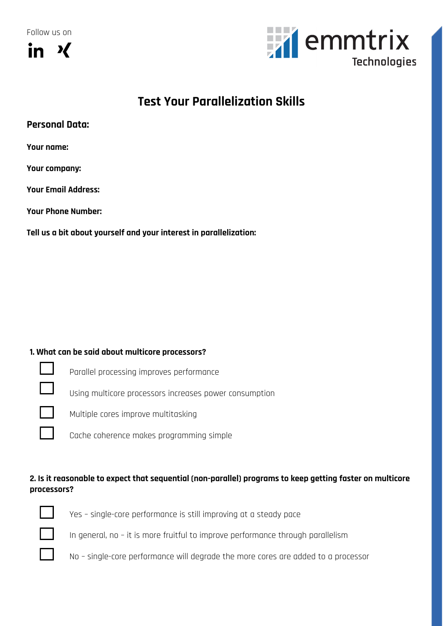Follow us on





# **Test Your Parallelization Skills**

**Your name:** 

**Your company:**

**Your Email Address:**

**Your Phone Number:**

**Tell us a bit about yourself and your interest in parallelization:**

#### **1. What can be said about multicore processors?**



Parallel processing improves performance

Using multicore processors increases power consumption

Multiple cores improve multitasking

Cache coherence makes programming simple

## **2. Is it reasonable to expect that sequential (non-parallel) programs to keep getting faster on multicore processors?**



Yes – single-core performance is still improving at a steady pace

In general, no – it is more fruitful to improve performance through parallelism

No – single-core performance will degrade the more cores are added to a processor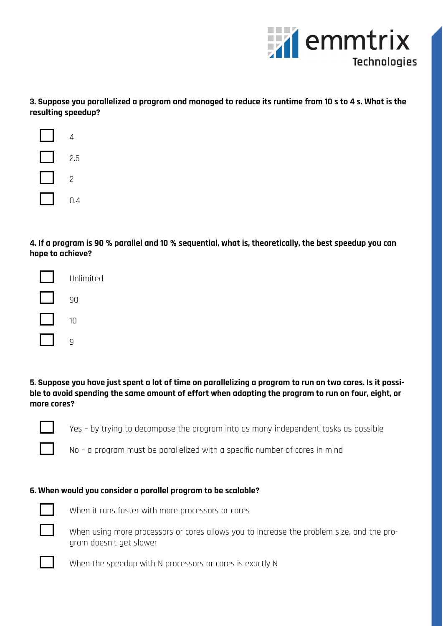

**3. Suppose you parallelized a program and managed to reduce its runtime from 10 s to 4 s. What is the resulting speedup?**



**4. If a program is 90 % parallel and 10 % sequential, what is, theoretically, the best speedup you can hope to achieve?**



**5. Suppose you have just spent a lot of time on parallelizing a program to run on two cores. Is it possible to avoid spending the same amount of effort when adapting the program to run on four, eight, or more cores?**

Yes – by trying to decompose the program into as many independent tasks as possible

No – a program must be parallelized with a specific number of cores in mind

#### **6. When would you consider a parallel program to be scalable?**



When it runs faster with more processors or cores



When using more processors or cores allows you to increase the problem size, and the program doesn't get slower

When the speedup with N processors or cores is exactly N